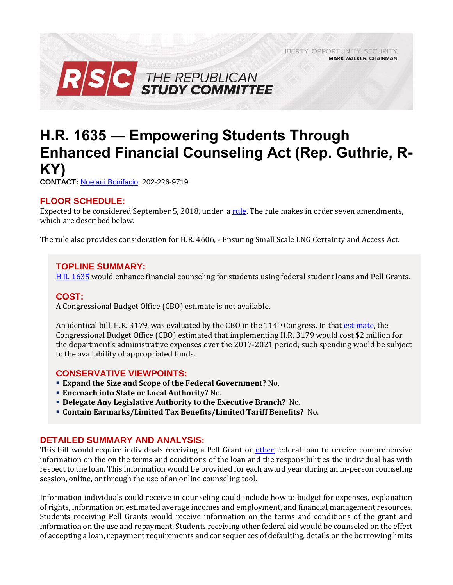LIBERTY. OPPORTUNITY. SECURITY. **MARK WALKER, CHAIRMAN** 



# **H.R. 1635 — Empowering Students Through Enhanced Financial Counseling Act (Rep. Guthrie, R-KY)**

**CONTACT:** [Noelani Bonifacio,](mailto:Noelani.Bonifacio@mail.house.gov) 202-226-9719

# **FLOOR SCHEDULE:**

Expected to be considered September 5, 2018, under a [rule.](https://rules.house.gov/sites/republicans.rules.house.gov/files/Rule_HR1635HR4606.pdf) The rule makes in order seven amendments, which are described below.

The rule also provides consideration for H.R. 4606, - Ensuring Small Scale LNG Certainty and Access Act.

#### **TOPLINE SUMMARY:**

[H.R. 1635](https://www.gpo.gov/fdsys/pkg/BILLS-115hr1635ih/pdf/BILLS-115hr1635ih.pdf) would enhance financial counseling for students using federal student loans and Pell Grants.

### **COST:**

A Congressional Budget Office (CBO) estimate is not available.

An identical bill, H.R. 3179, was evaluated by the CBO in the 114<sup>th</sup> Congress. In that [estimate,](https://www.cbo.gov/publication/51768) the Congressional Budget Office (CBO) estimated that implementing H.R. 3179 would cost \$2 million for the department's administrative expenses over the 2017-2021 period; such spending would be subject to the availability of appropriated funds.

#### **CONSERVATIVE VIEWPOINTS:**

- **Expand the Size and Scope of the Federal Government?** No.
- **Encroach into State or Local Authority?** No.
- **Delegate Any Legislative Authority to the Executive Branch?** No.
- **Contain Earmarks/Limited Tax Benefits/Limited Tariff Benefits?** No.

# **DETAILED SUMMARY AND ANALYSIS:**

This bill would require individuals receiving a Pell Grant or [other](http://uscode.house.gov/view.xhtml?req=(title:20%20section:1078-2%20edition:prelim)%20OR%20(granuleid:USC-prelim-title20-section1078-2)&f=treesort&num=0&edition=prelim) federal loan to receive comprehensive information on the on the terms and conditions of the loan and the responsibilities the individual has with respect to the loan. This information would be provided for each award year during an in-person counseling session, online, or through the use of an online counseling tool.

Information individuals could receive in counseling could include how to budget for expenses, explanation of rights, information on estimated average incomes and employment, and financial management resources. Students receiving Pell Grants would receive information on the terms and conditions of the grant and information on the use and repayment. Students receiving other federal aid would be counseled on the effect of accepting a loan, repayment requirements and consequences of defaulting, details on the borrowing limits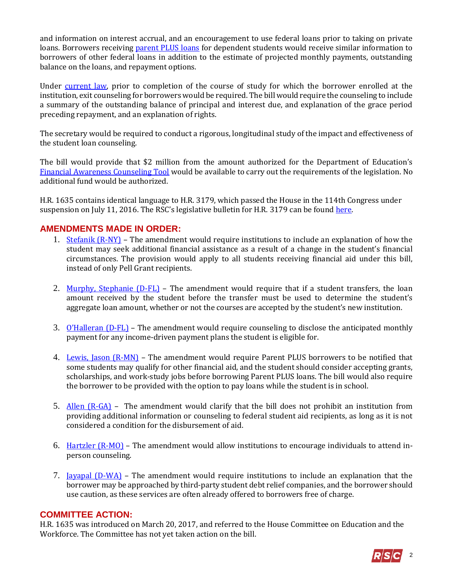and information on interest accrual, and an encouragement to use federal loans prior to taking on private loans. Borrowers receiving [parent PLUS loans](https://studentaid.ed.gov/sa/types/loans/plus) for dependent students would receive similar information to borrowers of other federal loans in addition to the estimate of projected monthly payments, outstanding balance on the loans, and repayment options.

Under [current law,](http://uscode.house.gov/view.xhtml?req=(title:20%20section:1092%20edition:prelim)%20OR%20(granuleid:USC-prelim-title20-section1092)&f=treesort&edition=prelim&num=0&jumpTo=true) prior to completion of the course of study for which the borrower enrolled at the institution, exit counseling for borrowers would be required. The bill would require the counseling to include a summary of the outstanding balance of principal and interest due, and explanation of the grace period preceding repayment, and an explanation of rights.

The secretary would be required to conduct a rigorous, longitudinal study of the impact and effectiveness of the student loan counseling.

The bill would provide that \$2 million from the amount authorized for the Department of Education's [Financial Awareness Counseling Tool](https://studentloans.gov/myDirectLoan/counselingInstructions.action) would be available to carry out the requirements of the legislation. No additional fund would be authorized.

H.R. 1635 contains identical language to H.R. 3179, which passed the House in the 114th Congress under suspension on July 11, 2016. The RSC's legislative bulletin for H.R. 3179 can be found [here.](https://rsc-walker.house.gov/sites/republicanstudycommittee.house.gov/files/2016LB/Legislative_Bulletin_Suspensions_July_11_2016.02.pdf)

# **AMENDMENTS MADE IN ORDER:**

- 1. [Stefanik \(R-NY\)](https://amendments-rules.house.gov/amendments/AMDT_001_xml%20-%20Stefanik94180858505850.pdf) The amendment would require institutions to include an explanation of how the student may seek additional financial assistance as a result of a change in the student's financial circumstances. The provision would apply to all students receiving financial aid under this bill, instead of only Pell Grant recipients.
- 2. [Murphy, Stephanie \(D-FL\)](https://amendments-rules.house.gov/amendments/AMDT_007_xml%20Murphy831181530113011.pdf) The amendment would require that if a student transfers, the loan amount received by the student before the transfer must be used to determine the student's aggregate loan amount, whether or not the courses are accepted by the student's new institution.
- 3. [O'Halleran \(D](https://amendments-rules.house.gov/amendments/AMDT_010_xml%20O%E2%80%99Halleran%20and%20Bera94180921282128.pdf)-FL) The amendment would require counseling to disclose the anticipated monthly payment for any income-driven payment plans the student is eligible for.
- 4. [Lewis, Jason \(R-MN\)](https://amendments-rules.house.gov/amendments/LEWMN_1635831181531323132.pdf) The amendment would require Parent PLUS borrowers to be notified that some students may qualify for other financial aid, and the student should consider accepting grants, scholarships, and work-study jobs before borrowing Parent PLUS loans. The bill would also require the borrower to be provided with the option to pay loans while the student is in school.
- 5. [Allen \(R-GA\)](https://amendments-rules.house.gov/amendments/AMDT_005_xml831181615211521.pdf) The amendment would clarify that the bill does not prohibit an institution from providing additional information or counseling to federal student aid recipients, as long as it is not considered a condition for the disbursement of aid.
- 6. Hartzler  $(R-MO)$  The amendment would allow institutions to encourage individuals to attend inperson counseling.
- 7. [Jayapal \(D-WA\)](https://amendments-rules.house.gov/amendments/JAYAPA_110_xml94180814101410.pdf) The amendment would require institutions to include an explanation that the borrower may be approached by third-party student debt relief companies, and the borrower should use caution, as these services are often already offered to borrowers free of charge.

#### **COMMITTEE ACTION:**

H.R. 1635 was introduced on March 20, 2017, and referred to the House Committee on Education and the Workforce. The Committee has not yet taken action on the bill.